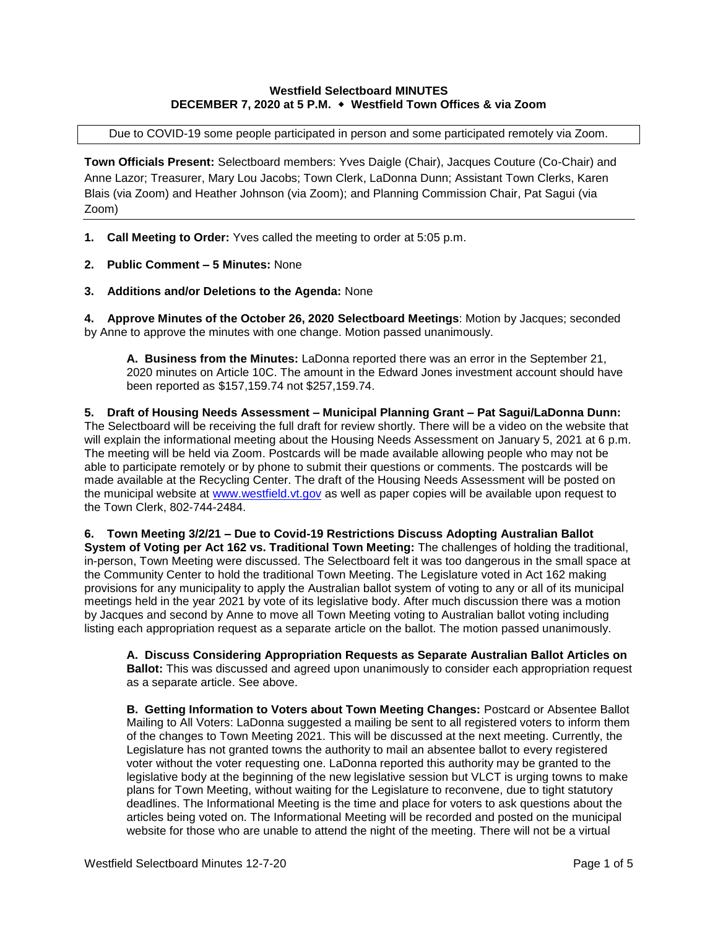# **Westfield Selectboard MINUTES DECEMBER 7, 2020 at 5 P.M. Westfield Town Offices & via Zoom**

Due to COVID-19 some people participated in person and some participated remotely via Zoom.

**Town Officials Present:** Selectboard members: Yves Daigle (Chair), Jacques Couture (Co-Chair) and Anne Lazor; Treasurer, Mary Lou Jacobs; Town Clerk, LaDonna Dunn; Assistant Town Clerks, Karen Blais (via Zoom) and Heather Johnson (via Zoom); and Planning Commission Chair, Pat Sagui (via Zoom)

- **1. Call Meeting to Order:** Yves called the meeting to order at 5:05 p.m.
- **2. Public Comment – 5 Minutes:** None
- **3. Additions and/or Deletions to the Agenda:** None

**4. Approve Minutes of the October 26, 2020 Selectboard Meetings**: Motion by Jacques; seconded by Anne to approve the minutes with one change. Motion passed unanimously.

**A. Business from the Minutes:** LaDonna reported there was an error in the September 21, 2020 minutes on Article 10C. The amount in the Edward Jones investment account should have been reported as \$157,159.74 not \$257,159.74.

**5. Draft of Housing Needs Assessment – Municipal Planning Grant – Pat Sagui/LaDonna Dunn:**  The Selectboard will be receiving the full draft for review shortly. There will be a video on the website that will explain the informational meeting about the Housing Needs Assessment on January 5, 2021 at 6 p.m. The meeting will be held via Zoom. Postcards will be made available allowing people who may not be able to participate remotely or by phone to submit their questions or comments. The postcards will be made available at the Recycling Center. The draft of the Housing Needs Assessment will be posted on the municipal website at [www.westfield.vt.gov](http://www.westfield.vt.gov/) as well as paper copies will be available upon request to the Town Clerk, 802-744-2484.

**6. Town Meeting 3/2/21 – Due to Covid-19 Restrictions Discuss Adopting Australian Ballot System of Voting per Act 162 vs. Traditional Town Meeting:** The challenges of holding the traditional, in-person, Town Meeting were discussed. The Selectboard felt it was too dangerous in the small space at the Community Center to hold the traditional Town Meeting. The Legislature voted in Act 162 making provisions for any municipality to apply the Australian ballot system of voting to any or all of its municipal meetings held in the year 2021 by vote of its legislative body. After much discussion there was a motion by Jacques and second by Anne to move all Town Meeting voting to Australian ballot voting including listing each appropriation request as a separate article on the ballot. The motion passed unanimously.

**A. Discuss Considering Appropriation Requests as Separate Australian Ballot Articles on Ballot:** This was discussed and agreed upon unanimously to consider each appropriation request as a separate article. See above.

**B. Getting Information to Voters about Town Meeting Changes:** Postcard or Absentee Ballot Mailing to All Voters: LaDonna suggested a mailing be sent to all registered voters to inform them of the changes to Town Meeting 2021. This will be discussed at the next meeting. Currently, the Legislature has not granted towns the authority to mail an absentee ballot to every registered voter without the voter requesting one. LaDonna reported this authority may be granted to the legislative body at the beginning of the new legislative session but VLCT is urging towns to make plans for Town Meeting, without waiting for the Legislature to reconvene, due to tight statutory deadlines. The Informational Meeting is the time and place for voters to ask questions about the articles being voted on. The Informational Meeting will be recorded and posted on the municipal website for those who are unable to attend the night of the meeting. There will not be a virtual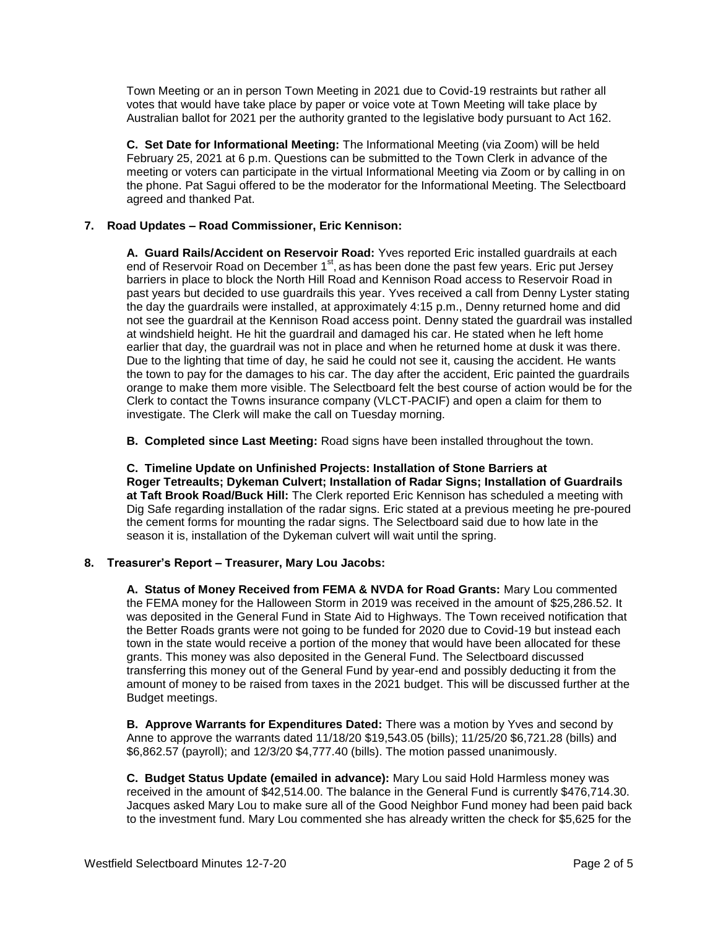Town Meeting or an in person Town Meeting in 2021 due to Covid-19 restraints but rather all votes that would have take place by paper or voice vote at Town Meeting will take place by Australian ballot for 2021 per the authority granted to the legislative body pursuant to Act 162.

**C. Set Date for Informational Meeting:** The Informational Meeting (via Zoom) will be held February 25, 2021 at 6 p.m. Questions can be submitted to the Town Clerk in advance of the meeting or voters can participate in the virtual Informational Meeting via Zoom or by calling in on the phone. Pat Sagui offered to be the moderator for the Informational Meeting. The Selectboard agreed and thanked Pat.

# **7. Road Updates – Road Commissioner, Eric Kennison:**

**A. Guard Rails/Accident on Reservoir Road:** Yves reported Eric installed guardrails at each end of Reservoir Road on December 1<sup>st</sup>, as has been done the past few years. Eric put Jersey barriers in place to block the North Hill Road and Kennison Road access to Reservoir Road in past years but decided to use guardrails this year. Yves received a call from Denny Lyster stating the day the guardrails were installed, at approximately 4:15 p.m., Denny returned home and did not see the guardrail at the Kennison Road access point. Denny stated the guardrail was installed at windshield height. He hit the guardrail and damaged his car. He stated when he left home earlier that day, the guardrail was not in place and when he returned home at dusk it was there. Due to the lighting that time of day, he said he could not see it, causing the accident. He wants the town to pay for the damages to his car. The day after the accident, Eric painted the guardrails orange to make them more visible. The Selectboard felt the best course of action would be for the Clerk to contact the Towns insurance company (VLCT-PACIF) and open a claim for them to investigate. The Clerk will make the call on Tuesday morning.

**B. Completed since Last Meeting:** Road signs have been installed throughout the town.

**C. Timeline Update on Unfinished Projects: Installation of Stone Barriers at Roger Tetreaults; Dykeman Culvert; Installation of Radar Signs; Installation of Guardrails at Taft Brook Road/Buck Hill:** The Clerk reported Eric Kennison has scheduled a meeting with Dig Safe regarding installation of the radar signs. Eric stated at a previous meeting he pre-poured the cement forms for mounting the radar signs. The Selectboard said due to how late in the season it is, installation of the Dykeman culvert will wait until the spring.

### **8. Treasurer's Report – Treasurer, Mary Lou Jacobs:**

**A. Status of Money Received from FEMA & NVDA for Road Grants:** Mary Lou commented the FEMA money for the Halloween Storm in 2019 was received in the amount of \$25,286.52. It was deposited in the General Fund in State Aid to Highways. The Town received notification that the Better Roads grants were not going to be funded for 2020 due to Covid-19 but instead each town in the state would receive a portion of the money that would have been allocated for these grants. This money was also deposited in the General Fund. The Selectboard discussed transferring this money out of the General Fund by year-end and possibly deducting it from the amount of money to be raised from taxes in the 2021 budget. This will be discussed further at the Budget meetings.

**B. Approve Warrants for Expenditures Dated:** There was a motion by Yves and second by Anne to approve the warrants dated 11/18/20 \$19,543.05 (bills); 11/25/20 \$6,721.28 (bills) and \$6,862.57 (payroll); and 12/3/20 \$4,777.40 (bills). The motion passed unanimously.

**C. Budget Status Update (emailed in advance):** Mary Lou said Hold Harmless money was received in the amount of \$42,514.00. The balance in the General Fund is currently \$476,714.30. Jacques asked Mary Lou to make sure all of the Good Neighbor Fund money had been paid back to the investment fund. Mary Lou commented she has already written the check for \$5,625 for the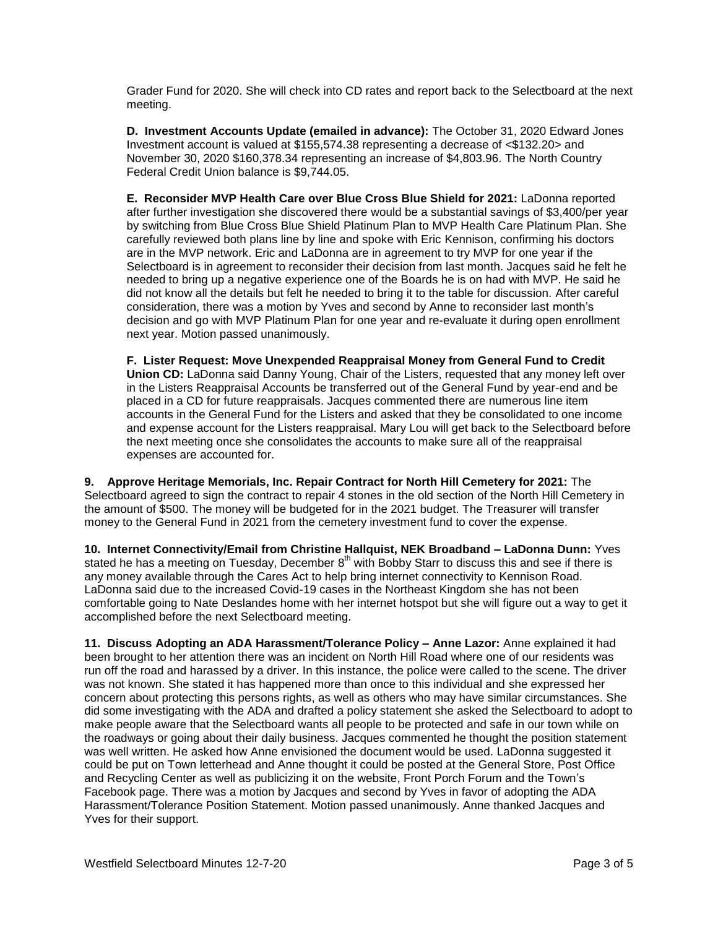Grader Fund for 2020. She will check into CD rates and report back to the Selectboard at the next meeting.

**D. Investment Accounts Update (emailed in advance):** The October 31, 2020 Edward Jones Investment account is valued at \$155,574.38 representing a decrease of <\$132.20> and November 30, 2020 \$160,378.34 representing an increase of \$4,803.96. The North Country Federal Credit Union balance is \$9,744.05.

**E. Reconsider MVP Health Care over Blue Cross Blue Shield for 2021:** LaDonna reported after further investigation she discovered there would be a substantial savings of \$3,400/per year by switching from Blue Cross Blue Shield Platinum Plan to MVP Health Care Platinum Plan. She carefully reviewed both plans line by line and spoke with Eric Kennison, confirming his doctors are in the MVP network. Eric and LaDonna are in agreement to try MVP for one year if the Selectboard is in agreement to reconsider their decision from last month. Jacques said he felt he needed to bring up a negative experience one of the Boards he is on had with MVP. He said he did not know all the details but felt he needed to bring it to the table for discussion. After careful consideration, there was a motion by Yves and second by Anne to reconsider last month's decision and go with MVP Platinum Plan for one year and re-evaluate it during open enrollment next year. Motion passed unanimously.

**F. Lister Request: Move Unexpended Reappraisal Money from General Fund to Credit Union CD:** LaDonna said Danny Young, Chair of the Listers, requested that any money left over in the Listers Reappraisal Accounts be transferred out of the General Fund by year-end and be placed in a CD for future reappraisals. Jacques commented there are numerous line item accounts in the General Fund for the Listers and asked that they be consolidated to one income and expense account for the Listers reappraisal. Mary Lou will get back to the Selectboard before the next meeting once she consolidates the accounts to make sure all of the reappraisal expenses are accounted for.

**9. Approve Heritage Memorials, Inc. Repair Contract for North Hill Cemetery for 2021:** The Selectboard agreed to sign the contract to repair 4 stones in the old section of the North Hill Cemetery in the amount of \$500. The money will be budgeted for in the 2021 budget. The Treasurer will transfer money to the General Fund in 2021 from the cemetery investment fund to cover the expense.

**10. Internet Connectivity/Email from Christine Hallquist, NEK Broadband – LaDonna Dunn:** Yves stated he has a meeting on Tuesday, December  $8<sup>th</sup>$  with Bobby Starr to discuss this and see if there is any money available through the Cares Act to help bring internet connectivity to Kennison Road. LaDonna said due to the increased Covid-19 cases in the Northeast Kingdom she has not been comfortable going to Nate Deslandes home with her internet hotspot but she will figure out a way to get it accomplished before the next Selectboard meeting.

**11. Discuss Adopting an ADA Harassment/Tolerance Policy – Anne Lazor:** Anne explained it had been brought to her attention there was an incident on North Hill Road where one of our residents was run off the road and harassed by a driver. In this instance, the police were called to the scene. The driver was not known. She stated it has happened more than once to this individual and she expressed her concern about protecting this persons rights, as well as others who may have similar circumstances. She did some investigating with the ADA and drafted a policy statement she asked the Selectboard to adopt to make people aware that the Selectboard wants all people to be protected and safe in our town while on the roadways or going about their daily business. Jacques commented he thought the position statement was well written. He asked how Anne envisioned the document would be used. LaDonna suggested it could be put on Town letterhead and Anne thought it could be posted at the General Store, Post Office and Recycling Center as well as publicizing it on the website, Front Porch Forum and the Town's Facebook page. There was a motion by Jacques and second by Yves in favor of adopting the ADA Harassment/Tolerance Position Statement. Motion passed unanimously. Anne thanked Jacques and Yves for their support.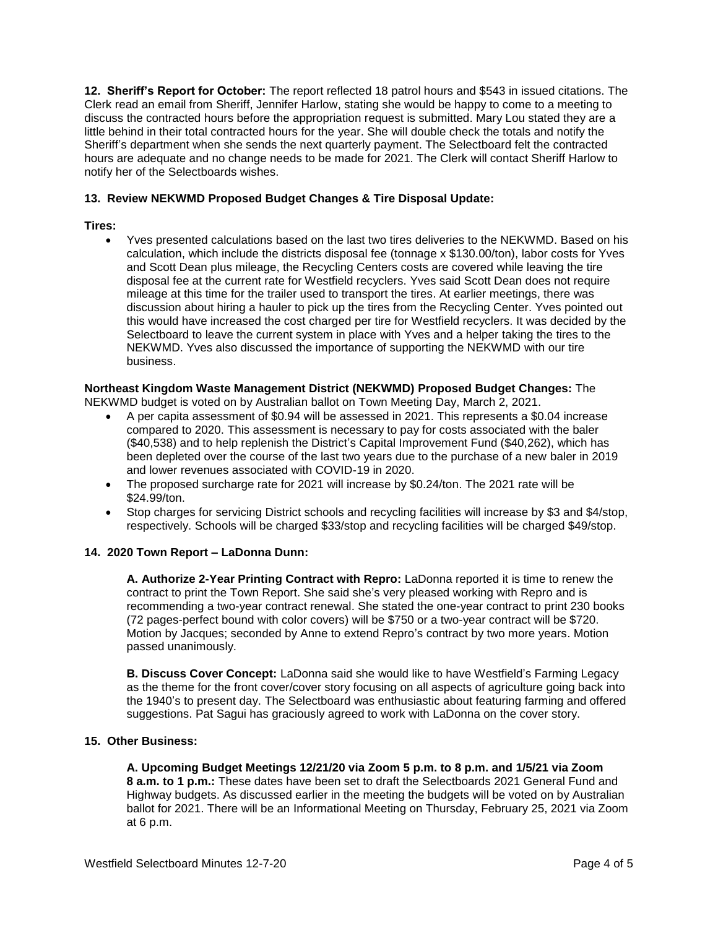**12. Sheriff's Report for October:** The report reflected 18 patrol hours and \$543 in issued citations. The Clerk read an email from Sheriff, Jennifer Harlow, stating she would be happy to come to a meeting to discuss the contracted hours before the appropriation request is submitted. Mary Lou stated they are a little behind in their total contracted hours for the year. She will double check the totals and notify the Sheriff's department when she sends the next quarterly payment. The Selectboard felt the contracted hours are adequate and no change needs to be made for 2021. The Clerk will contact Sheriff Harlow to notify her of the Selectboards wishes.

## **13. Review NEKWMD Proposed Budget Changes & Tire Disposal Update:**

## **Tires:**

 Yves presented calculations based on the last two tires deliveries to the NEKWMD. Based on his calculation, which include the districts disposal fee (tonnage x \$130.00/ton), labor costs for Yves and Scott Dean plus mileage, the Recycling Centers costs are covered while leaving the tire disposal fee at the current rate for Westfield recyclers. Yves said Scott Dean does not require mileage at this time for the trailer used to transport the tires. At earlier meetings, there was discussion about hiring a hauler to pick up the tires from the Recycling Center. Yves pointed out this would have increased the cost charged per tire for Westfield recyclers. It was decided by the Selectboard to leave the current system in place with Yves and a helper taking the tires to the NEKWMD. Yves also discussed the importance of supporting the NEKWMD with our tire business.

# **Northeast Kingdom Waste Management District (NEKWMD) Proposed Budget Changes:** The

NEKWMD budget is voted on by Australian ballot on Town Meeting Day, March 2, 2021.

- A per capita assessment of \$0.94 will be assessed in 2021. This represents a \$0.04 increase compared to 2020. This assessment is necessary to pay for costs associated with the baler (\$40,538) and to help replenish the District's Capital Improvement Fund (\$40,262), which has been depleted over the course of the last two years due to the purchase of a new baler in 2019 and lower revenues associated with COVID-19 in 2020.
- The proposed surcharge rate for 2021 will increase by \$0.24/ton. The 2021 rate will be \$24.99/ton.
- Stop charges for servicing District schools and recycling facilities will increase by \$3 and \$4/stop, respectively. Schools will be charged \$33/stop and recycling facilities will be charged \$49/stop.

### **14. 2020 Town Report – LaDonna Dunn:**

**A. Authorize 2-Year Printing Contract with Repro:** LaDonna reported it is time to renew the contract to print the Town Report. She said she's very pleased working with Repro and is recommending a two-year contract renewal. She stated the one-year contract to print 230 books (72 pages-perfect bound with color covers) will be \$750 or a two-year contract will be \$720. Motion by Jacques; seconded by Anne to extend Repro's contract by two more years. Motion passed unanimously.

**B. Discuss Cover Concept:** LaDonna said she would like to have Westfield's Farming Legacy as the theme for the front cover/cover story focusing on all aspects of agriculture going back into the 1940's to present day. The Selectboard was enthusiastic about featuring farming and offered suggestions. Pat Sagui has graciously agreed to work with LaDonna on the cover story.

## **15. Other Business:**

**A. Upcoming Budget Meetings 12/21/20 via Zoom 5 p.m. to 8 p.m. and 1/5/21 via Zoom 8 a.m. to 1 p.m.:** These dates have been set to draft the Selectboards 2021 General Fund and Highway budgets. As discussed earlier in the meeting the budgets will be voted on by Australian ballot for 2021. There will be an Informational Meeting on Thursday, February 25, 2021 via Zoom at 6 p.m.